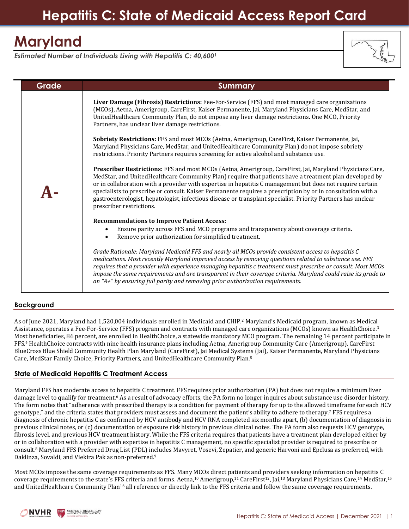# **Hepatitis C: State of Medicaid Access Report Card**

# **Maryland**

*Estimated Number of Individuals Living with Hepatitis C: 40,600<sup>1</sup>*

**Grade Summary**



| Liver Damage (Fibrosis) Restrictions: Fee-For-Service (FFS) and most managed care organizations<br>(MCOs), Aetna, Amerigroup, CareFirst, Kaiser Permanente, Jai, Maryland Physicians Care, MedStar, and<br>UnitedHealthcare Community Plan, do not impose any liver damage restrictions. One MCO, Priority<br>Partners, has unclear liver damage restrictions.                                                                                                                                                                                                                             |
|--------------------------------------------------------------------------------------------------------------------------------------------------------------------------------------------------------------------------------------------------------------------------------------------------------------------------------------------------------------------------------------------------------------------------------------------------------------------------------------------------------------------------------------------------------------------------------------------|
| Sobriety Restrictions: FFS and most MCOs (Aetna, Amerigroup, CareFirst, Kaiser Permanente, Jai,<br>Maryland Physicians Care, MedStar, and UnitedHealthcare Community Plan) do not impose sobriety<br>restrictions. Priority Partners requires screening for active alcohol and substance use.                                                                                                                                                                                                                                                                                              |
| Prescriber Restrictions: FFS and most MCOs (Aetna, Amerigroup, CareFirst, Jai, Maryland Physicians Care,<br>MedStar, and UnitedHealthcare Community Plan) require that patients have a treatment plan developed by<br>or in collaboration with a provider with expertise in hepatitis C management but does not require certain<br>specialists to prescribe or consult. Kaiser Permanente requires a prescription by or in consultation with a<br>gastroenterologist, hepatologist, infectious disease or transplant specialist. Priority Partners has unclear<br>prescriber restrictions. |
| <b>Recommendations to Improve Patient Access:</b>                                                                                                                                                                                                                                                                                                                                                                                                                                                                                                                                          |
| Ensure parity across FFS and MCO programs and transparency about coverage criteria.<br>$\bullet$<br>Remove prior authorization for simplified treatment.                                                                                                                                                                                                                                                                                                                                                                                                                                   |
| Grade Rationale: Maryland Medicaid FFS and nearly all MCOs provide consistent access to hepatitis C<br>medications. Most recently Maryland improved access by removing questions related to substance use. FFS<br>requires that a provider with experience managing hepatitis c treatment must prescribe or consult. Most MCOs<br>impose the same requirements and are transparent in their coverage criteria. Maryland could raise its grade to<br>an " $A+$ " by ensuring full parity and removing prior authorization requirements.                                                     |

## **Background**

As of June 2021, Maryland had 1,520,004 individuals enrolled in Medicaid and CHIP. <sup>2</sup> Maryland's Medicaid program, known as Medical Assistance, operates a Fee-For-Service (FFS) program and contracts with managed care organizations (MCOs) known as HealthChoice.<sup>3</sup> Most beneficiaries, 86 percent, are enrolled in HealthChoice, a statewide mandatory MCO program. The remaining 14 percent participate in FFS.<sup>4</sup> HealthChoice contracts with nine health insurance plans including Aetna, Amerigroup Community Care (Amerigroup), CareFirst BlueCross Blue Shield Community Health Plan Maryland (CareFirst), Jai Medical Systems (Jai), Kaiser Permanente, Maryland Physicians Care, MedStar Family Choice, Priority Partners, and UnitedHealthcare Community Plan. 5

#### **State of Medicaid Hepatitis C Treatment Access**

Maryland FFS has moderate access to hepatitis C treatment. FFS requires prior authorization (PA) but does not require a minimum liver damage level to qualify for treatment.<sup>6</sup> As a result of advocacy efforts, the PA form no longer inquires about substance use disorder history. The form notes that "adherence with prescribed therapy is a condition for payment of therapy for up to the allowed timeframe for each HCV genotype," and the criteria states that providers must assess and document the patient's ability to adhere to therapy.<sup>7</sup> FFS requires a diagnosis of chronic hepatitis C as confirmed by HCV antibody and HCV RNA completed six months apart, (b) documentation of diagnosis in previous clinical notes, or (c) documentation of exposure risk history in previous clinical notes. The PA form also requests HCV genotype, fibrosis level, and previous HCV treatment history. While the FFS criteria requires that patients have a treatment plan developed either by or in collaboration with a provider with expertise in hepatitis C management, no specific specialist provider is required to prescribe or consult.<sup>8</sup> Maryland FFS Preferred Drug List (PDL) includes Mavyret, Vosevi, Zepatier, and generic Harvoni and Epclusa as preferred, with Daklinza, Sovaldi, and Viekira Pak as non-preferred. 9

Most MCOs impose the same coverage requirements as FFS. Many MCOs direct patients and providers seeking information on hepatitis C coverage requirements to the state's FFS criteria and forms. Aetna,<sup>10</sup> Amerigroup,<sup>11</sup> CareFirst<sup>12</sup>, Jai,<sup>13</sup> Maryland Physicians Care,<sup>14</sup> MedStar,<sup>15</sup> and UnitedHealthcare Community Plan<sup>16</sup> all reference or directly link to the FFS criteria and follow the same coverage requirements.

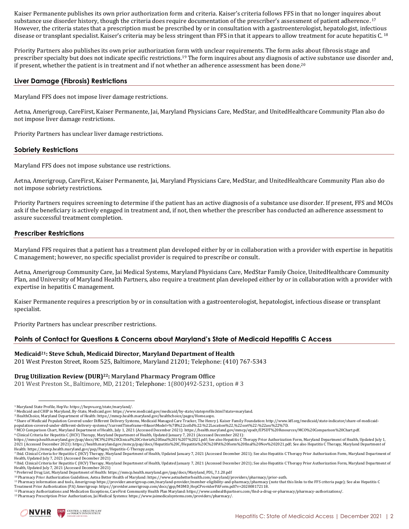Kaiser Permanente publishes its own prior authorization form and criteria. Kaiser's criteria follows FFS in that no longer inquires about substance use disorder history, though the criteria does require documentation of the prescriber's assessment of patient adherence.<sup>17</sup> However, the criteria states that a prescription must be prescribed by or in consultation with a gastroenterologist, hepatologist, infectious disease or transplant specialist. Kaiser's criteria may be less stringent than FFS in that it appears to allow treatment for acute hepatitis C. 18

Priority Partners also publishes its own prior authorization form with unclear requirements. The form asks about fibrosis stage and prescriber specialty but does not indicate specific restrictions.<sup>19</sup> The form inquires about any diagnosis of active substance use disorder and, if present, whether the patient is in treatment and if not whether an adherence assessment has been done.<sup>20</sup>

## **Liver Damage (Fibrosis) Restrictions**

Maryland FFS does not impose liver damage restrictions.

Aetna, Amerigroup, CareFirst, Kaiser Permanente, Jai, Maryland Physicians Care, MedStar, and UnitedHealthcare Community Plan also do not impose liver damage restrictions.

Priority Partners has unclear liver damage restrictions.

## **Sobriety Restrictions**

Maryland FFS does not impose substance use restrictions.

Aetna, Amerigroup, CareFirst, Kaiser Permanente, Jai, Maryland Physicians Care, MedStar, and UnitedHealthcare Community Plan also do not impose sobriety restrictions.

Priority Partners requires screening to determine if the patient has an active diagnosis of a substance use disorder. If present, FFS and MCOs ask if the beneficiary is actively engaged in treatment and, if not, then whether the prescriber has conducted an adherence assessment to assure successful treatment completion.

## **Prescriber Restrictions**

Maryland FFS requires that a patient has a treatment plan developed either by or in collaboration with a provider with expertise in hepatitis C management; however, no specific specialist provider is required to prescribe or consult.

Aetna, Amerigroup Community Care, Jai Medical Systems, Maryland Physicians Care, MedStar Family Choice, UnitedHealthcare Community Plan, and University of Maryland Health Partners, also require a treatment plan developed either by or in collaboration with a provider with expertise in hepatitis C management.

Kaiser Permanente requires a prescription by or in consultation with a gastroenterologist, hepatologist, infectious disease or transplant specialist.

Priority Partners has unclear prescriber restrictions.

## **Points of Contact for Questions & Concerns about Maryland's State of Medicaid Hepatitis C Access**

#### **Medicaid21: Steve Schuh, Medicaid Director, Maryland Department of Health**

201 West Preston Street, Room 525, Baltimore, Maryland 21201; Telephone: (410) 767-5343

#### **Drug Utilization Review (DUR)22: Maryland Pharmacy Program Office**

201 West Preston St., Baltimore, MD, 21201; Telephone: 1(800)492-5231, option # 3

<sup>5</sup> MCO Comparison Chart, Maryland Department of Health, July 1, 2021 (Accessed December 2021): https://health.maryland.gov/mmcp/epsdt/EPSDT%20Resources/MCO%20Comparison%20Chart.pdf.

6 Clinical Criteria for Hepatitis C (HCV) Therapy, Maryland Department of Health, Updated January 7, 2021 (Accessed December 2021):<br>https://mmcp.health.maryland.gov/pap/docs/HCV%20%20Clinical%20Criteria%20final%201%207%202

<sup>13</sup> Pharmacy Prescription Prior Authorization, Jai Medical Systems: https://www.jaimedicalsystems.com/providers/pharmacy/.



<sup>1</sup> Maryland State Profile, HepVu[: https://hepvu.org/state/maryland/.](https://hepvu.org/state/maryland/)  $\overline{a}$ 

<sup>2</sup> Medicaid and CHIP in Maryland, By-State, Medicaid.gov[: https://www.medicaid.gov/medicaid/by-state/stateprofile.html?state=maryland.](https://www.medicaid.gov/medicaid/by-state/stateprofile.html?state=maryland)

<sup>3</sup> HealthChoice, Maryland Department of Health[: https://mmcp.health.maryland.gov/healthchoice/pages/Home.aspx.](https://mmcp.health.maryland.gov/healthchoice/pages/Home.aspx)

<sup>4</sup> Share of Medicaid Population Covered under Different Delivery Systems, Medicaid Managed Care Tracker, The Henry J. Kaiser Family Foundation: http://www.kff.org/medicaid/state-indicator/share-of-medicaid-<br>population-cover

<sup>2021 (</sup>Accessed December 2021): https://health.maryland.gov/mmcp/pap/docs/Hepatitis%20C/Hepatitis%20C%20PA%20form%20final%20Nov%202021.pdf; See also Hepatitis C Therapy, Maryland Department of Health: https://mmcp.health.maryland.gov/pap/Pages/Hepatitis-C-Therapy.aspx.<br><sup>7</sup> Ibid. Clinical Criteria for Hepatitis C (HCV) Therapy, Maryland Department of Health, Updated January 7, 2021 (Accessed December 2021); See a

Health, Updated July 7, 2021 (Accessed December 2021)

<sup>&</sup>lt;sup>8</sup> Ibid. Clinical Criteria for Hepatitis C (HCV) Therapy, Maryland Department of Health, Updated January 7, 2021 (Accessed December 2021); See also Hepatitis C Therapy Prior Authorization Form, Maryland Department of<br>Heal <sup>9</sup> Preferred Drug List, Maryland Department of Health: https://mmcp.health.maryland.gov/pap/docs/Maryland\_PDL\_7.1.20.pdf

<sup>10</sup> Pharmacy Prior Authorization Guidelines, Aetna Better Health of Maryland: https://www.aetnabetterhealth.com/maryland/providers/pharmacy/prior-auth.

<sup>11</sup> Pharmacy information and tools, Amerigroup <https://provider.amerigroup.com/maryland-provider/member-eligibility-and-pharmacy/pharmacy> (note that this links to the FFS criteria page); See also Hepatitis C<br>11 Pharmacy inf Treatment Prior Authorization (PA) Amerigroup: https://provider.amerigroup.com/docs/gpp/MDMD\_HepCProviderPAForm.pdf?v=202008172118.

<sup>12</sup> Pharmacy Authorizations and Medication Exceptions, CareFirst Community Health Plan Maryland: https://www.umhealthpartners.com/find-a-drug-or-pharmacy/pharmacy-authorizations/.